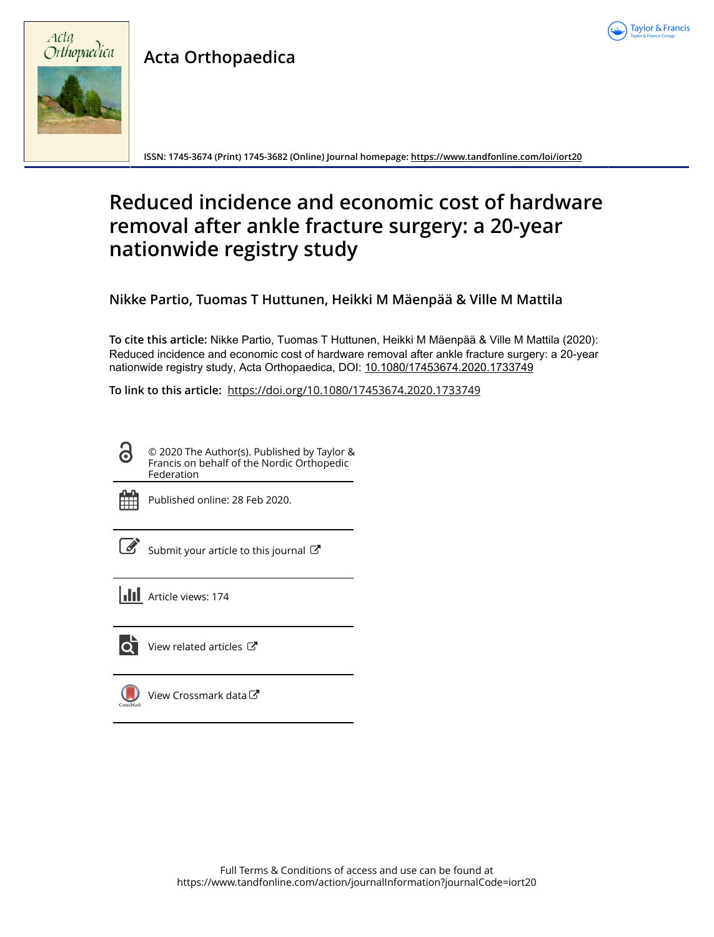

# **Acta Orthopaedica**



**ISSN: 1745-3674 (Print) 1745-3682 (Online) Journal homepage:<https://www.tandfonline.com/loi/iort20>**

# **Reduced incidence and economic cost of hardware removal after ankle fracture surgery: a 20-year nationwide registry study**

**Nikke Partio, Tuomas T Huttunen, Heikki M Mäenpää & Ville M Mattila**

**To cite this article:** Nikke Partio, Tuomas T Huttunen, Heikki M Mäenpää & Ville M Mattila (2020): Reduced incidence and economic cost of hardware removal after ankle fracture surgery: a 20-year nationwide registry study, Acta Orthopaedica, DOI: [10.1080/17453674.2020.1733749](https://www.tandfonline.com/action/showCitFormats?doi=10.1080/17453674.2020.1733749)

**To link to this article:** <https://doi.org/10.1080/17453674.2020.1733749>

© 2020 The Author(s). Published by Taylor & Francis on behalf of the Nordic Orthopedic Federation



Published online: 28 Feb 2020.

[Submit your article to this journal](https://www.tandfonline.com/action/authorSubmission?journalCode=iort20&show=instructions)  $\mathbb{Z}$ 

**III** Article views: 174



 $\bullet$  [View related articles](https://www.tandfonline.com/doi/mlt/10.1080/17453674.2020.1733749)  $\circ$ 

[View Crossmark data](http://crossmark.crossref.org/dialog/?doi=10.1080/17453674.2020.1733749&domain=pdf&date_stamp=2020-02-28) $\mathbb{Z}$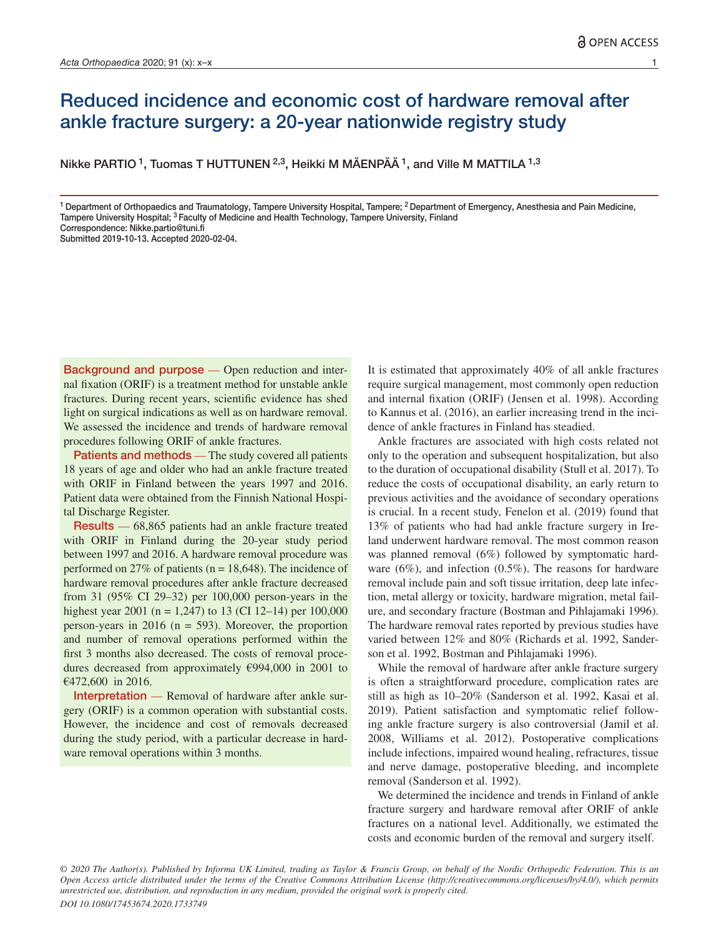# Reduced incidence and economic cost of hardware removal after ankle fracture surgery: a 20-year nationwide registry study

Nikke PARTIO <sup>1</sup>, Tuomas T HUTTUNEN <sup>2,3</sup>, Heikki M MÄENPÄÄ <sup>1</sup>, and Ville M MATTILA <sup>1,3</sup>

<sup>1</sup> Department of Orthopaedics and Traumatology, Tampere University Hospital, Tampere; <sup>2</sup> Department of Emergency, Anesthesia and Pain Medicine, Tampere University Hospital; 3 Faculty of Medicine and Health Technology, Tampere University, Finland Correspondence: Nikke.partio@tuni.fi

Submitted 2019-10-13. Accepted 2020-02-04.

Background and purpose — Open reduction and internal fixation (ORIF) is a treatment method for unstable ankle fractures. During recent years, scientific evidence has shed light on surgical indications as well as on hardware removal. We assessed the incidence and trends of hardware removal procedures following ORIF of ankle fractures.

Patients and methods — The study covered all patients 18 years of age and older who had an ankle fracture treated with ORIF in Finland between the years 1997 and 2016. Patient data were obtained from the Finnish National Hospital Discharge Register.

Results — 68,865 patients had an ankle fracture treated with ORIF in Finland during the 20-year study period between 1997 and 2016. A hardware removal procedure was performed on 27% of patients ( $n = 18,648$ ). The incidence of hardware removal procedures after ankle fracture decreased from 31 (95% CI 29–32) per 100,000 person-years in the highest year 2001 (n = 1,247) to 13 (CI 12–14) per 100,000 person-years in 2016 ( $n = 593$ ). Moreover, the proportion and number of removal operations performed within the first 3 months also decreased. The costs of removal procedures decreased from approximately €994,000 in 2001 to €472,600 in 2016.

Interpretation — Removal of hardware after ankle surgery (ORIF) is a common operation with substantial costs. However, the incidence and cost of removals decreased during the study period, with a particular decrease in hardware removal operations within 3 months.

It is estimated that approximately 40% of all ankle fractures require surgical management, most commonly open reduction and internal fixation (ORIF) (Jensen et al. 1998). According to Kannus et al. (2016), an earlier increasing trend in the incidence of ankle fractures in Finland has steadied.

Ankle fractures are associated with high costs related not only to the operation and subsequent hospitalization, but also to the duration of occupational disability (Stull et al. 2017). To reduce the costs of occupational disability, an early return to previous activities and the avoidance of secondary operations is crucial. In a recent study, Fenelon et al. (2019) found that 13% of patients who had had ankle fracture surgery in Ireland underwent hardware removal. The most common reason was planned removal (6%) followed by symptomatic hardware (6%), and infection (0.5%). The reasons for hardware removal include pain and soft tissue irritation, deep late infection, metal allergy or toxicity, hardware migration, metal failure, and secondary fracture (Bostman and Pihlajamaki 1996). The hardware removal rates reported by previous studies have varied between 12% and 80% (Richards et al. 1992, Sanderson et al. 1992, Bostman and Pihlajamaki 1996).

While the removal of hardware after ankle fracture surgery is often a straightforward procedure, complication rates are still as high as 10–20% (Sanderson et al. 1992, Kasai et al. 2019). Patient satisfaction and symptomatic relief following ankle fracture surgery is also controversial (Jamil et al. 2008, Williams et al. 2012). Postoperative complications include infections, impaired wound healing, refractures, tissue and nerve damage, postoperative bleeding, and incomplete removal (Sanderson et al. 1992).

We determined the incidence and trends in Finland of ankle fracture surgery and hardware removal after ORIF of ankle fractures on a national level. Additionally, we estimated the costs and economic burden of the removal and surgery itself.

*© 2020 The Author(s). Published by Informa UK Limited, trading as Taylor & Francis Group, on behalf of the Nordic Orthopedic Federation. This is an Open Access article distributed under the terms of the Creative Commons Attribution License (http://creativecommons.org/licenses/by/4.0/), which permits unrestricted use, distribution, and reproduction in any medium, provided the original work is properly cited.*

*DOI 10.1080/17453674.2020.1733749*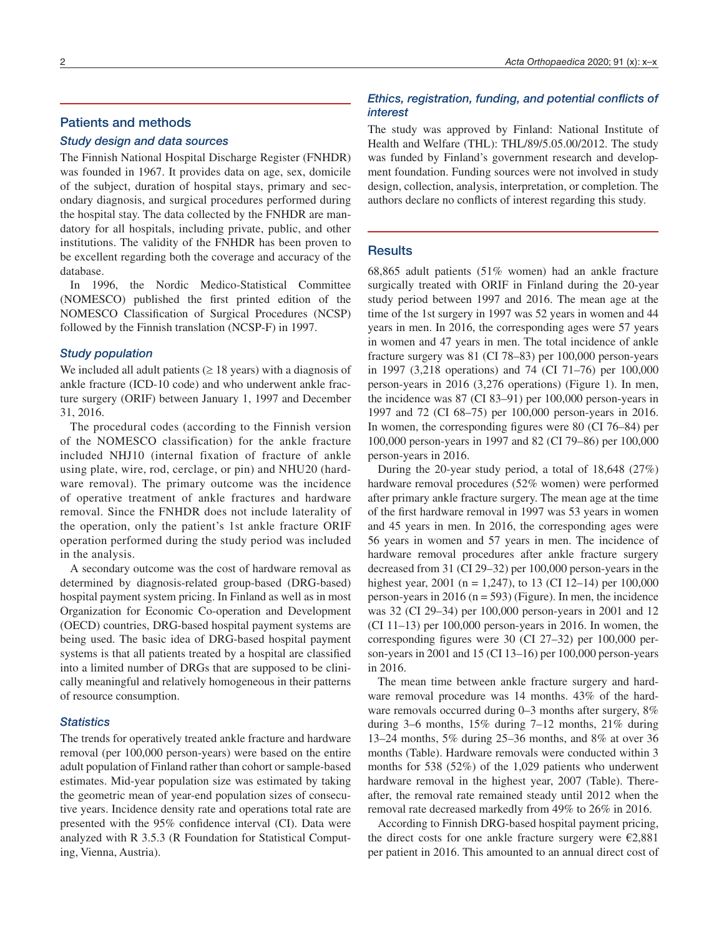# Patients and methods

### *Study design and data sources*

The Finnish National Hospital Discharge Register (FNHDR) was founded in 1967. It provides data on age, sex, domicile of the subject, duration of hospital stays, primary and secondary diagnosis, and surgical procedures performed during the hospital stay. The data collected by the FNHDR are mandatory for all hospitals, including private, public, and other institutions. The validity of the FNHDR has been proven to be excellent regarding both the coverage and accuracy of the database.

In 1996, the Nordic Medico-Statistical Committee (NOMESCO) published the first printed edition of the NOMESCO Classification of Surgical Procedures (NCSP) followed by the Finnish translation (NCSP-F) in 1997.

#### *Study population*

We included all adult patients ( $\geq$  18 years) with a diagnosis of ankle fracture (ICD-10 code) and who underwent ankle fracture surgery (ORIF) between January 1, 1997 and December 31, 2016.

The procedural codes (according to the Finnish version of the NOMESCO classification) for the ankle fracture included NHJ10 (internal fixation of fracture of ankle using plate, wire, rod, cerclage, or pin) and NHU20 (hardware removal). The primary outcome was the incidence of operative treatment of ankle fractures and hardware removal. Since the FNHDR does not include laterality of the operation, only the patient's 1st ankle fracture ORIF operation performed during the study period was included in the analysis.

A secondary outcome was the cost of hardware removal as determined by diagnosis-related group-based (DRG-based) hospital payment system pricing. In Finland as well as in most Organization for Economic Co-operation and Development (OECD) countries, DRG-based hospital payment systems are being used. The basic idea of DRG-based hospital payment systems is that all patients treated by a hospital are classified into a limited number of DRGs that are supposed to be clinically meaningful and relatively homogeneous in their patterns of resource consumption.

# *Statistics*

The trends for operatively treated ankle fracture and hardware removal (per 100,000 person-years) were based on the entire adult population of Finland rather than cohort or sample-based estimates. Mid-year population size was estimated by taking the geometric mean of year-end population sizes of consecutive years. Incidence density rate and operations total rate are presented with the 95% confidence interval (CI). Data were analyzed with R 3.5.3 (R Foundation for Statistical Computing, Vienna, Austria).

# *Ethics, registration, funding, and potential conflicts of interest*

The study was approved by Finland: National Institute of Health and Welfare (THL): THL/89/5.05.00/2012. The study was funded by Finland's government research and development foundation. Funding sources were not involved in study design, collection, analysis, interpretation, or completion. The authors declare no conflicts of interest regarding this study.

## **Results**

68,865 adult patients (51% women) had an ankle fracture surgically treated with ORIF in Finland during the 20-year study period between 1997 and 2016. The mean age at the time of the 1st surgery in 1997 was 52 years in women and 44 years in men. In 2016, the corresponding ages were 57 years in women and 47 years in men. The total incidence of ankle fracture surgery was 81 (CI 78–83) per 100,000 person-years in 1997 (3,218 operations) and 74 (CI 71–76) per 100,000 person-years in 2016 (3,276 operations) (Figure 1). In men, the incidence was 87 (CI 83–91) per 100,000 person-years in 1997 and 72 (CI 68–75) per 100,000 person-years in 2016. In women, the corresponding figures were 80 (CI 76–84) per 100,000 person-years in 1997 and 82 (CI 79–86) per 100,000 person-years in 2016.

During the 20-year study period, a total of 18,648 (27%) hardware removal procedures (52% women) were performed after primary ankle fracture surgery. The mean age at the time of the first hardware removal in 1997 was 53 years in women and 45 years in men. In 2016, the corresponding ages were 56 years in women and 57 years in men. The incidence of hardware removal procedures after ankle fracture surgery decreased from 31 (CI 29–32) per 100,000 person-years in the highest year, 2001 (n = 1,247), to 13 (CI 12–14) per 100,000 person-years in 2016 ( $n = 593$ ) (Figure). In men, the incidence was 32 (CI 29–34) per 100,000 person-years in 2001 and 12 (CI 11–13) per 100,000 person-years in 2016. In women, the corresponding figures were 30 (CI 27–32) per 100,000 person-years in 2001 and 15 (CI 13–16) per 100,000 person-years in 2016.

The mean time between ankle fracture surgery and hardware removal procedure was 14 months. 43% of the hardware removals occurred during 0–3 months after surgery,  $8\%$ during 3–6 months, 15% during 7–12 months, 21% during 13–24 months, 5% during 25–36 months, and 8% at over 36 months (Table). Hardware removals were conducted within 3 months for 538 (52%) of the 1,029 patients who underwent hardware removal in the highest year, 2007 (Table). Thereafter, the removal rate remained steady until 2012 when the removal rate decreased markedly from 49% to 26% in 2016.

According to Finnish DRG-based hospital payment pricing, the direct costs for one ankle fracture surgery were  $\epsilon$ 2,881 per patient in 2016. This amounted to an annual direct cost of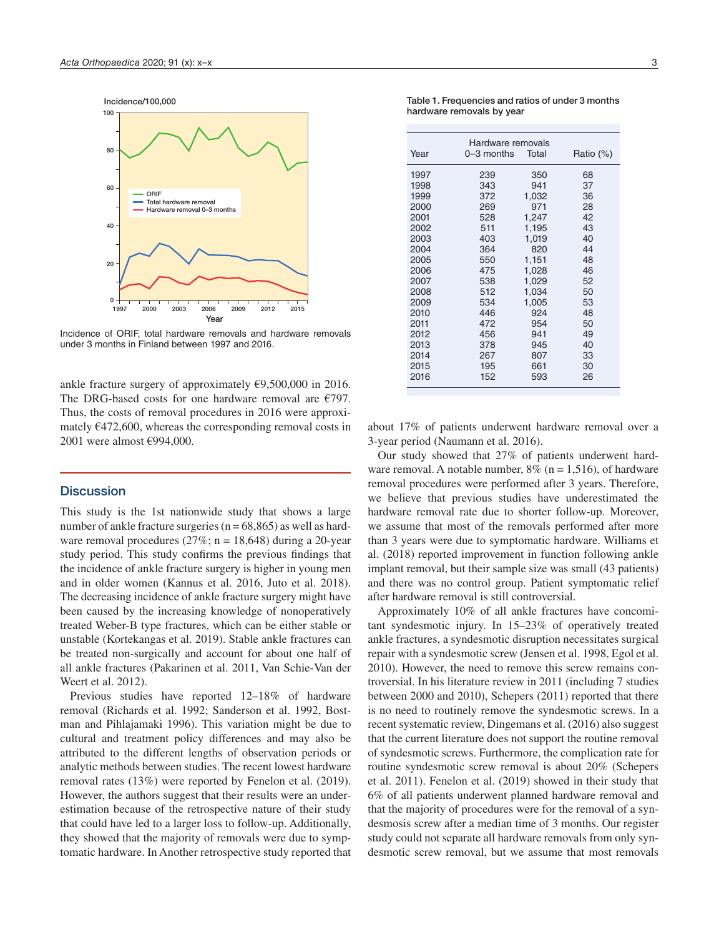Incidence/100,000



Incidence of ORIF, total hardware removals and hardware removals under 3 months in Finland between 1997 and 2016.

ankle fracture surgery of approximately €9,500,000 in 2016. The DRG-based costs for one hardware removal are €797. Thus, the costs of removal procedures in 2016 were approximately  $\epsilon$ 472,600, whereas the corresponding removal costs in 2001 were almost €994,000.

# **Discussion**

This study is the 1st nationwide study that shows a large number of ankle fracture surgeries ( $n = 68,865$ ) as well as hardware removal procedures  $(27\%; n = 18,648)$  during a 20-year study period. This study confirms the previous findings that the incidence of ankle fracture surgery is higher in young men and in older women (Kannus et al. 2016, Juto et al. 2018). The decreasing incidence of ankle fracture surgery might have been caused by the increasing knowledge of nonoperatively treated Weber-B type fractures, which can be either stable or unstable (Kortekangas et al. 2019). Stable ankle fractures can be treated non-surgically and account for about one half of all ankle fractures (Pakarinen et al. 2011, Van Schie-Van der Weert et al. 2012).

Previous studies have reported 12–18% of hardware removal (Richards et al. 1992; Sanderson et al. 1992, Bostman and Pihlajamaki 1996). This variation might be due to cultural and treatment policy differences and may also be attributed to the different lengths of observation periods or analytic methods between studies. The recent lowest hardware removal rates (13%) were reported by Fenelon et al. (2019). However, the authors suggest that their results were an underestimation because of the retrospective nature of their study that could have led to a larger loss to follow-up. Additionally, they showed that the majority of removals were due to symptomatic hardware. In Another retrospective study reported that

Table 1. Frequencies and ratios of under 3 months hardware removals by year

| Year | Hardware removals<br>0–3 months | Total | Ratio (%) |
|------|---------------------------------|-------|-----------|
| 1997 | 239                             | 350   | 68        |
| 1998 | 343                             | 941   | 37        |
| 1999 | 372                             | 1,032 | 36        |
| 2000 | 269                             | 971   | 28        |
| 2001 | 528                             | 1.247 | 42        |
| 2002 | 511                             | 1,195 | 43        |
| 2003 | 403                             | 1,019 | 40        |
| 2004 | 364                             | 820   | 44        |
| 2005 | 550                             | 1,151 | 48        |
| 2006 | 475                             | 1,028 | 46        |
| 2007 | 538                             | 1,029 | 52        |
| 2008 | 512                             | 1,034 | 50        |
| 2009 | 534                             | 1,005 | 53        |
| 2010 | 446                             | 924   | 48        |
| 2011 | 472                             | 954   | 50        |
| 2012 | 456                             | 941   | 49        |
| 2013 | 378                             | 945   | 40        |
| 2014 | 267                             | 807   | 33        |
| 2015 | 195                             | 661   | 30        |
| 2016 | 152                             | 593   | 26        |
|      |                                 |       |           |

about 17% of patients underwent hardware removal over a 3-year period (Naumann et al. 2016).

Our study showed that 27% of patients underwent hardware removal. A notable number,  $8\%$  (n = 1,516), of hardware removal procedures were performed after 3 years. Therefore, we believe that previous studies have underestimated the hardware removal rate due to shorter follow-up. Moreover, we assume that most of the removals performed after more than 3 years were due to symptomatic hardware. Williams et al. (2018) reported improvement in function following ankle implant removal, but their sample size was small (43 patients) and there was no control group. Patient symptomatic relief after hardware removal is still controversial.

Approximately 10% of all ankle fractures have concomitant syndesmotic injury. In 15–23% of operatively treated ankle fractures, a syndesmotic disruption necessitates surgical repair with a syndesmotic screw (Jensen et al. 1998, Egol et al. 2010). However, the need to remove this screw remains controversial. In his literature review in 2011 (including 7 studies between 2000 and 2010), Schepers (2011) reported that there is no need to routinely remove the syndesmotic screws. In a recent systematic review, Dingemans et al. (2016) also suggest that the current literature does not support the routine removal of syndesmotic screws. Furthermore, the complication rate for routine syndesmotic screw removal is about 20% (Schepers et al. 2011). Fenelon et al. (2019) showed in their study that 6% of all patients underwent planned hardware removal and that the majority of procedures were for the removal of a syndesmosis screw after a median time of 3 months. Our register study could not separate all hardware removals from only syndesmotic screw removal, but we assume that most removals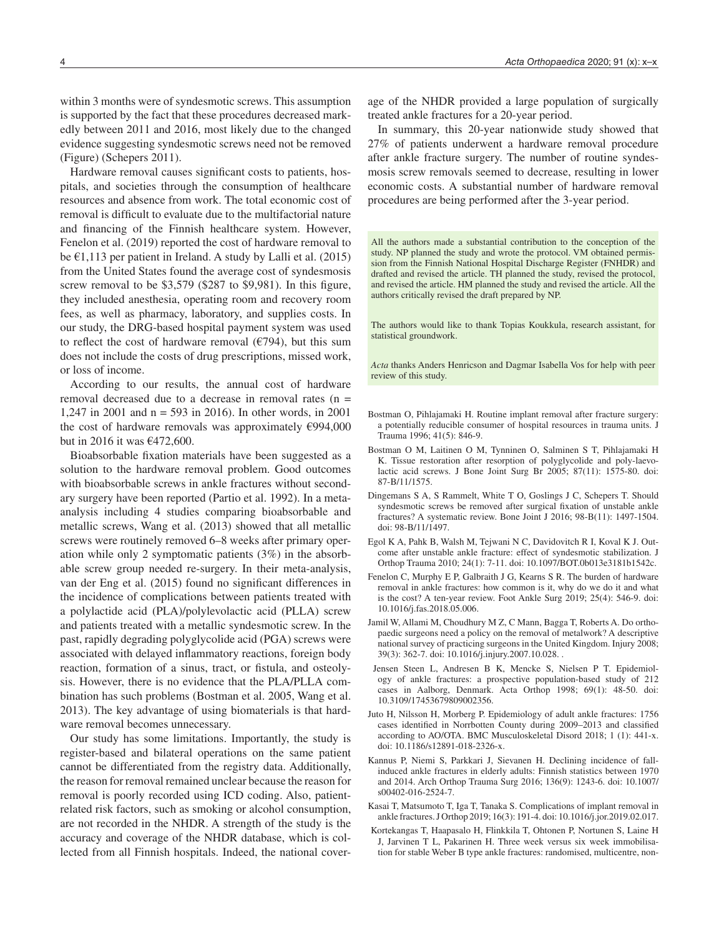within 3 months were of syndesmotic screws. This assumption is supported by the fact that these procedures decreased markedly between 2011 and 2016, most likely due to the changed evidence suggesting syndesmotic screws need not be removed (Figure) (Schepers 2011).

Hardware removal causes significant costs to patients, hospitals, and societies through the consumption of healthcare resources and absence from work. The total economic cost of removal is difficult to evaluate due to the multifactorial nature and financing of the Finnish healthcare system. However, Fenelon et al. (2019) reported the cost of hardware removal to be €1,113 per patient in Ireland. A study by Lalli et al. (2015) from the United States found the average cost of syndesmosis screw removal to be \$3,579 (\$287 to \$9,981). In this figure, they included anesthesia, operating room and recovery room fees, as well as pharmacy, laboratory, and supplies costs. In our study, the DRG-based hospital payment system was used to reflect the cost of hardware removal  $(\text{\textsterling}794)$ , but this sum does not include the costs of drug prescriptions, missed work, or loss of income.

According to our results, the annual cost of hardware removal decreased due to a decrease in removal rates (n = 1,247 in 2001 and n = 593 in 2016). In other words, in 2001 the cost of hardware removals was approximately €994,000 but in 2016 it was €472,600.

Bioabsorbable fixation materials have been suggested as a solution to the hardware removal problem. Good outcomes with bioabsorbable screws in ankle fractures without secondary surgery have been reported (Partio et al. 1992). In a metaanalysis including 4 studies comparing bioabsorbable and metallic screws, Wang et al. (2013) showed that all metallic screws were routinely removed 6–8 weeks after primary operation while only 2 symptomatic patients (3%) in the absorbable screw group needed re-surgery. In their meta-analysis, van der Eng et al. (2015) found no significant differences in the incidence of complications between patients treated with a polylactide acid (PLA)/polylevolactic acid (PLLA) screw and patients treated with a metallic syndesmotic screw. In the past, rapidly degrading polyglycolide acid (PGA) screws were associated with delayed inflammatory reactions, foreign body reaction, formation of a sinus, tract, or fistula, and osteolysis. However, there is no evidence that the PLA/PLLA combination has such problems (Bostman et al. 2005, Wang et al. 2013). The key advantage of using biomaterials is that hardware removal becomes unnecessary.

Our study has some limitations. Importantly, the study is register-based and bilateral operations on the same patient cannot be differentiated from the registry data. Additionally, the reason for removal remained unclear because the reason for removal is poorly recorded using ICD coding. Also, patientrelated risk factors, such as smoking or alcohol consumption, are not recorded in the NHDR. A strength of the study is the accuracy and coverage of the NHDR database, which is collected from all Finnish hospitals. Indeed, the national coverage of the NHDR provided a large population of surgically treated ankle fractures for a 20-year period.

In summary, this 20-year nationwide study showed that 27% of patients underwent a hardware removal procedure after ankle fracture surgery. The number of routine syndesmosis screw removals seemed to decrease, resulting in lower economic costs. A substantial number of hardware removal procedures are being performed after the 3-year period.

All the authors made a substantial contribution to the conception of the study. NP planned the study and wrote the protocol. VM obtained permission from the Finnish National Hospital Discharge Register (FNHDR) and drafted and revised the article. TH planned the study, revised the protocol, and revised the article. HM planned the study and revised the article. All the authors critically revised the draft prepared by NP.

The authors would like to thank Topias Koukkula, research assistant, for statistical groundwork.

*Acta* thanks Anders Henricson and Dagmar Isabella Vos for help with peer review of this study.

- Bostman O, Pihlajamaki H. Routine implant removal after fracture surgery: a potentially reducible consumer of hospital resources in trauma units. J Trauma 1996; 41(5): 846-9.
- Bostman O M, Laitinen O M, Tynninen O, Salminen S T, Pihlajamaki H K. Tissue restoration after resorption of polyglycolide and poly-laevolactic acid screws. J Bone Joint Surg Br 2005; 87(11): 1575-80. doi: 87-B/11/1575.
- Dingemans S A, S Rammelt, White T O, Goslings J C, Schepers T. Should syndesmotic screws be removed after surgical fixation of unstable ankle fractures? A systematic review. Bone Joint J 2016; 98-B(11): 1497-1504. doi: 98-B/11/1497.
- Egol K A, Pahk B, Walsh M, Tejwani N C, Davidovitch R I, Koval K J. Outcome after unstable ankle fracture: effect of syndesmotic stabilization. J Orthop Trauma 2010; 24(1): 7-11. doi: 10.1097/BOT.0b013e3181b1542c.
- Fenelon C, Murphy E P, Galbraith J G, Kearns S R. The burden of hardware removal in ankle fractures: how common is it, why do we do it and what is the cost? A ten-year review. Foot Ankle Surg 2019; 25(4): 546-9. doi: 10.1016/j.fas.2018.05.006.
- Jamil W, Allami M, Choudhury M Z, C Mann, Bagga T, Roberts A. Do orthopaedic surgeons need a policy on the removal of metalwork? A descriptive national survey of practicing surgeons in the United Kingdom. Injury 2008; 39(3): 362-7. doi: 10.1016/j.injury.2007.10.028. .
- Jensen Steen L, Andresen B K, Mencke S, Nielsen P T. Epidemiology of ankle fractures: a prospective population-based study of 212 cases in Aalborg, Denmark. Acta Orthop 1998; 69(1): 48-50. doi: 10.3109/17453679809002356.
- Juto H, Nilsson H, Morberg P. Epidemiology of adult ankle fractures: 1756 cases identified in Norrbotten County during 2009–2013 and classified according to AO/OTA. BMC Musculoskeletal Disord 2018; 1 (1): 441-x. doi: 10.1186/s12891-018-2326-x.
- Kannus P, Niemi S, Parkkari J, Sievanen H. Declining incidence of fallinduced ankle fractures in elderly adults: Finnish statistics between 1970 and 2014. Arch Orthop Trauma Surg 2016; 136(9): 1243-6. doi: 10.1007/ s00402-016-2524-7.
- Kasai T, Matsumoto T, Iga T, Tanaka S. Complications of implant removal in ankle fractures. J Orthop 2019; 16(3): 191-4. doi: 10.1016/j.jor.2019.02.017.
- Kortekangas T, Haapasalo H, Flinkkila T, Ohtonen P, Nortunen S, Laine H J, Jarvinen T L, Pakarinen H. Three week versus six week immobilisation for stable Weber B type ankle fractures: randomised, multicentre, non-